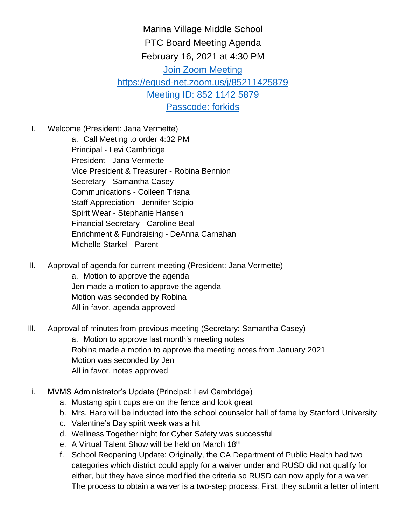Marina Village Middle School PTC Board Meeting Agenda February 16, 2021 at 4:30 PM Join Zoom Meeting https://egusd-net.zoom.us/j/85211425879 Meeting ID: 852 1142 5879 Passcode: forkids

I. Welcome (President: Jana Vermette)

a. Call Meeting to order 4:32 PM Principal - Levi Cambridge President - Jana Vermette Vice President & Treasurer - Robina Bennion Secretary - Samantha Casey Communications - Colleen Triana Staff Appreciation - Jennifer Scipio Spirit Wear - Stephanie Hansen Financial Secretary - Caroline Beal Enrichment & Fundraising - DeAnna Carnahan Michelle Starkel - Parent

II. Approval of agenda for current meeting (President: Jana Vermette) a. Motion to approve the agenda Jen made a motion to approve the agenda Motion was seconded by Robina

All in favor, agenda approved

## III. Approval of minutes from previous meeting (Secretary: Samantha Casey) a. Motion to approve last month's meeting notes Robina made a motion to approve the meeting notes from January 2021 Motion was seconded by Jen All in favor, notes approved

- i. MVMS Administrator's Update (Principal: Levi Cambridge)
	- a. Mustang spirit cups are on the fence and look great
	- b. Mrs. Harp will be inducted into the school counselor hall of fame by Stanford University
	- c. Valentine's Day spirit week was a hit
	- d. Wellness Together night for Cyber Safety was successful
	- e. A Virtual Talent Show will be held on March 18<sup>th</sup>
	- f. School Reopening Update: Originally, the CA Department of Public Health had two categories which district could apply for a waiver under and RUSD did not qualify for either, but they have since modified the criteria so RUSD can now apply for a waiver. The process to obtain a waiver is a two-step process. First, they submit a letter of intent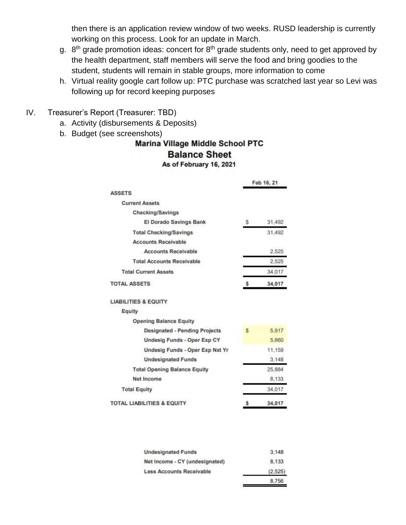then there is an application review window of two weeks. RUSD leadership is currently working on this process. Look for an update in March.

- g. 8<sup>th</sup> grade promotion ideas: concert for 8<sup>th</sup> grade students only, need to get approved by the health department, staff members will serve the food and bring goodies to the student, students will remain in stable groups, more information to come
- h. Virtual reality google cart follow up: PTC purchase was scratched last year so Levi was following up for record keeping purposes
- IV. Treasurer's Report (Treasurer: TBD)
	- a. Activity (disbursements & Deposits)
	-

## b. Budget (see screenshots)<br>Marina Village Middle School PTC **Balance Sheet** As of February 16, 2021

|                                       |    | Feb 16, 21 |  |
|---------------------------------------|----|------------|--|
| <b>ASSETS</b>                         |    |            |  |
| <b>Current Assets</b>                 |    |            |  |
| Checking/Savings                      |    |            |  |
| El Dorado Savings Bank                | s  | 31,492     |  |
| <b>Total Checking/Savings</b>         |    | 31,492     |  |
| <b>Accounts Receivable</b>            |    |            |  |
| <b>Accounts Receivable</b>            |    | 2.525      |  |
| <b>Total Accounts Receivable</b>      |    | 2,525      |  |
| <b>Total Current Assets</b>           |    | 34,017     |  |
| <b>TOTAL ASSETS</b>                   | \$ | 34,017     |  |
| <b>LIABILITIES &amp; EQUITY</b>       |    |            |  |
| Equity                                |    |            |  |
| <b>Opening Balance Equity</b>         |    |            |  |
| <b>Designated - Pending Projects</b>  | s. | 5,917      |  |
| <b>Undesig Funds - Oper Exp CY</b>    |    | 5,660      |  |
| Undesig Funds - Oper Exp Nxt Yr       |    | 11,159     |  |
| <b>Undesignated Funds</b>             |    | 3,148      |  |
| <b>Total Opening Balance Equity</b>   |    | 25,884     |  |
| Net Income                            |    | 8,133      |  |
| <b>Total Equity</b>                   |    | 34,017     |  |
| <b>TOTAL LIABILITIES &amp; EQUITY</b> | s  | 34,017     |  |

| <b>Undesignated Funds</b>       | 3.148   |
|---------------------------------|---------|
| Net Income - CY (undesignated)  | 8.133   |
| <b>Less Accounts Receivable</b> | (2.525) |
|                                 | 8,756   |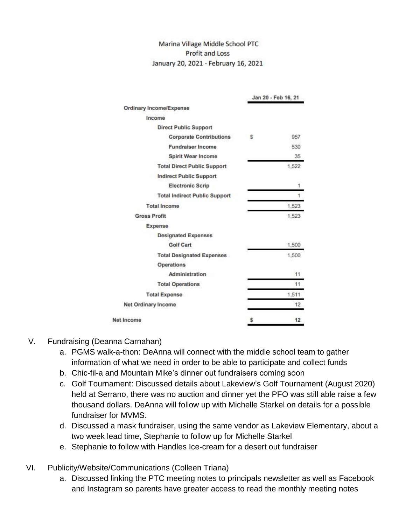## Marina Village Middle School PTC **Profit and Loss** January 20, 2021 - February 16, 2021

|                                      | Jan 20 - Feb 16, 21 |       |
|--------------------------------------|---------------------|-------|
| Ordinary Income/Expense              |                     |       |
| Income                               |                     |       |
| <b>Direct Public Support</b>         |                     |       |
| <b>Corporate Contributions</b>       | s                   | 957   |
| <b>Fundraiser Income</b>             |                     | 530   |
| Spirit Wear Income                   |                     | 35    |
| <b>Total Direct Public Support</b>   |                     | 1,522 |
| <b>Indirect Public Support</b>       |                     |       |
| <b>Electronic Scrip</b>              |                     | 1     |
| <b>Total Indirect Public Support</b> |                     | 1     |
| <b>Total Income</b>                  |                     | 1,523 |
| <b>Gross Profit</b>                  |                     | 1,523 |
| Expense                              |                     |       |
| <b>Designated Expenses</b>           |                     |       |
| Golf Cart                            |                     | 1,500 |
| <b>Total Designated Expenses</b>     |                     | 1,500 |
| Operations                           |                     |       |
| Administration                       |                     | 11.   |
| <b>Total Operations</b>              |                     | 11    |
| <b>Total Expense</b>                 |                     | 1,511 |
| Net Ordinary Income                  |                     | 12    |
| Net Income                           | Ŝ                   | 12    |

## V. Fundraising (Deanna Carnahan)

- a. PGMS walk-a-thon: DeAnna will connect with the middle school team to gather information of what we need in order to be able to participate and collect funds
- b. Chic-fil-a and Mountain Mike's dinner out fundraisers coming soon
- c. Golf Tournament: Discussed details about Lakeview's Golf Tournament (August 2020) held at Serrano, there was no auction and dinner yet the PFO was still able raise a few thousand dollars. DeAnna will follow up with Michelle Starkel on details for a possible fundraiser for MVMS.
- d. Discussed a mask fundraiser, using the same vendor as Lakeview Elementary, about a two week lead time, Stephanie to follow up for Michelle Starkel
- e. Stephanie to follow with Handles Ice-cream for a desert out fundraiser
- VI. Publicity/Website/Communications (Colleen Triana)
	- a. Discussed linking the PTC meeting notes to principals newsletter as well as Facebook and Instagram so parents have greater access to read the monthly meeting notes